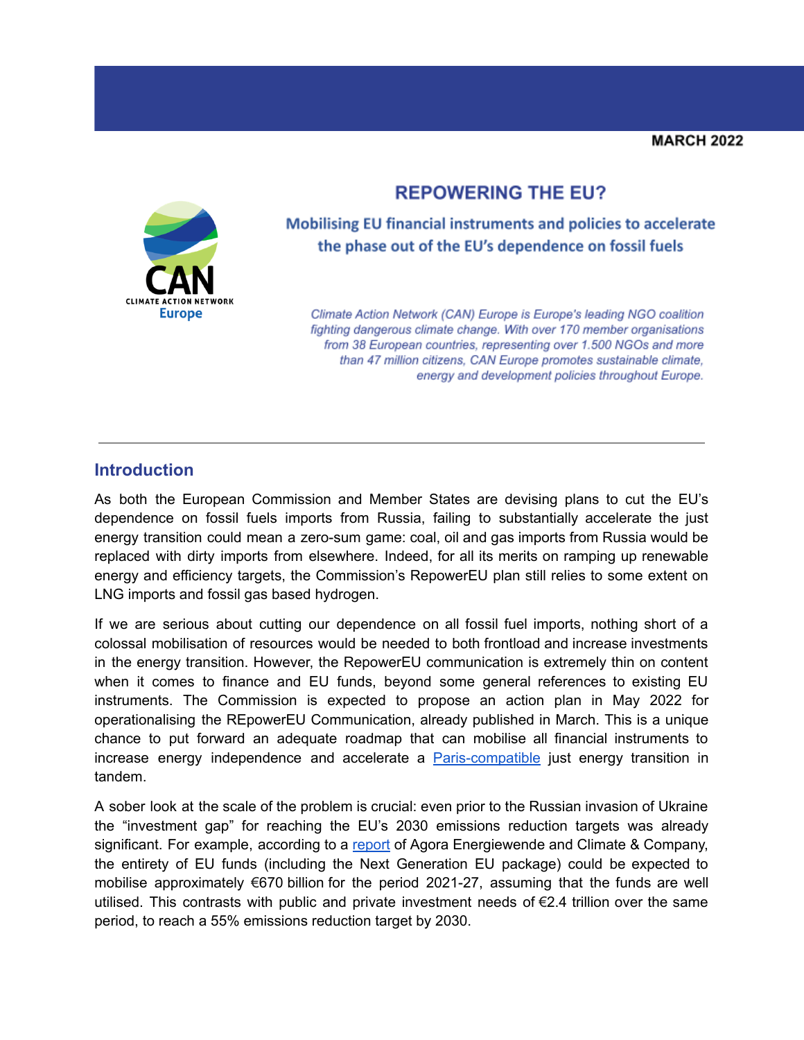# **REPOWERING THE EU?**



Mobilising EU financial instruments and policies to accelerate the phase out of the EU's dependence on fossil fuels

Climate Action Network (CAN) Europe is Europe's leading NGO coalition fighting dangerous climate change. With over 170 member organisations from 38 European countries, representing over 1.500 NGOs and more than 47 million citizens, CAN Europe promotes sustainable climate, energy and development policies throughout Europe.

#### **Introduction**

As both the European Commission and Member States are devising plans to cut the EU's dependence on fossil fuels imports from Russia, failing to substantially accelerate the just energy transition could mean a zero-sum game: coal, oil and gas imports from Russia would be replaced with dirty imports from elsewhere. Indeed, for all its merits on ramping up renewable energy and efficiency targets, the Commission's RepowerEU plan still relies to some extent on LNG imports and fossil gas based hydrogen.

If we are serious about cutting our dependence on all fossil fuel imports, nothing short of a colossal mobilisation of resources would be needed to both frontload and increase investments in the energy transition. However, the RepowerEU communication is extremely thin on content when it comes to finance and EU funds, beyond some general references to existing EU instruments. The Commission is expected to propose an action plan in May 2022 for operationalising the REpowerEU Communication, already published in March. This is a unique chance to put forward an adequate roadmap that can mobilise all financial instruments to increase energy independence and accelerate a **[Paris-compatible](https://www.pac-scenarios.eu/)** just energy transition in tandem.

A sober look at the scale of the problem is crucial: even prior to the Russian invasion of Ukraine the "investment gap" for reaching the EU's 2030 emissions reduction targets was already significant. For example, according to a [report](https://static.agora-energiewende.de/fileadmin/Projekte/2020/2020_07_EU-Commentary-Budget/184_A-EW_Recovering-better_WEB.pdf) of Agora Energiewende and Climate & Company, the entirety of EU funds (including the Next Generation EU package) could be expected to mobilise approximately €670 billion for the period 2021-27, assuming that the funds are well utilised. This contrasts with public and private investment needs of €2.4 trillion over the same period, to reach a 55% emissions reduction target by 2030.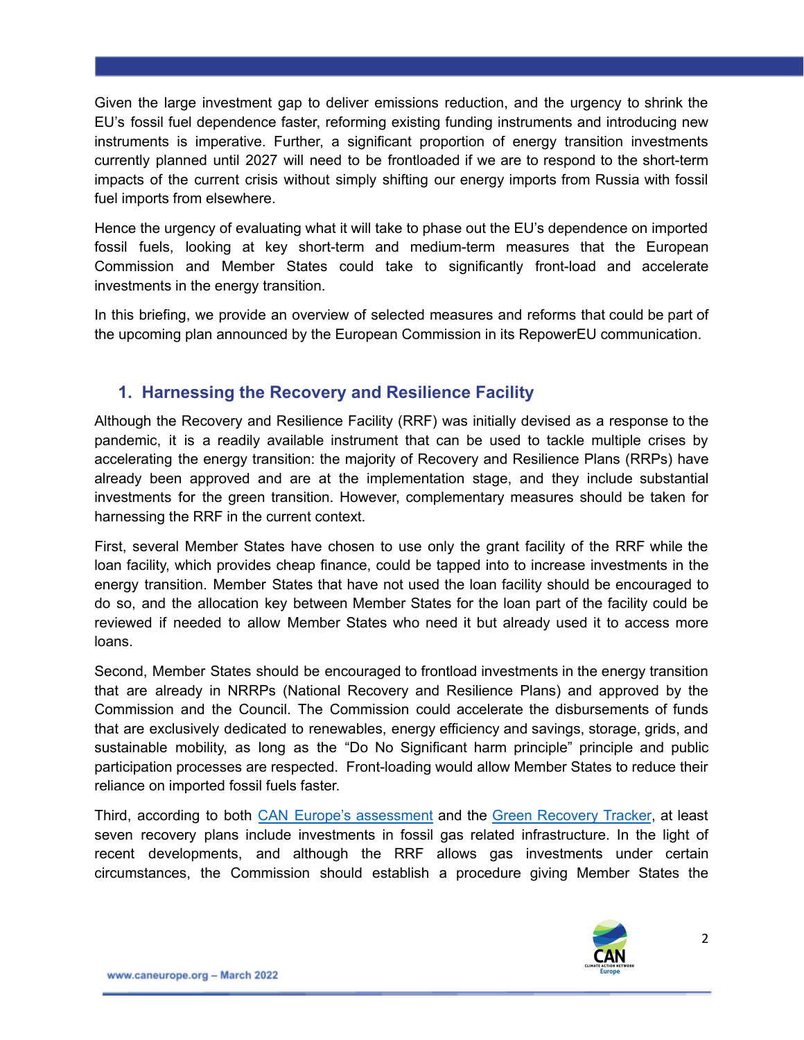Given the large investment gap to deliver emissions reduction, and the urgency to shrink the EU's fossil fuel dependence faster, reforming existing funding instruments and introducing new instruments is imperative. Further, a significant proportion of energy transition investments currently planned until 2027 will need to be frontloaded if we are to respond to the short-term impacts of the current crisis without simply shifting our energy imports from Russia with fossil fuel imports from elsewhere.

Hence the urgency of evaluating what it will take to phase out the EU's dependence on imported fossil fuels, looking at key short-term and medium-term measures that the European Commission and Member States could take to significantly front-load and accelerate investments in the energy transition.

In this briefing, we provide an overview of selected measures and reforms that could be part of the upcoming plan announced by the European Commission in its RepowerEU communication.

### **1. Harnessing the Recovery and Resilience Facility**

Although the Recovery and Resilience Facility (RRF) was initially devised as a response to the pandemic, it is a readily available instrument that can be used to tackle multiple crises by accelerating the energy transition: the majority of Recovery and Resilience Plans (RRPs) have already been approved and are at the implementation stage, and they include substantial investments for the green transition. However, complementary measures should be taken for harnessing the RRF in the current context.

First, several Member States have chosen to use only the grant facility of the RRF while the loan facility, which provides cheap finance, could be tapped into to increase investments in the energy transition. Member States that have not used the loan facility should be encouraged to do so, and the allocation key between Member States for the loan part of the facility could be reviewed if needed to allow Member States who need it but already used it to access more loans.

Second, Member States should be encouraged to frontload investments in the energy transition that are already in NRRPs (National Recovery and Resilience Plans) and approved by the Commission and the Council. The Commission could accelerate the disbursements of funds that are exclusively dedicated to renewables, energy efficiency and savings, storage, grids, and sustainable mobility, as long as the "Do No Significant harm principle" principle and public participation processes are respected. Front-loading would allow Member States to reduce their reliance on imported fossil fuels faster.

Third, according to both CAN Europe's [assessment](https://caneurope.org/reaching-for-a-green-recovery-what-holds-back-progress-in-ten-eu-recovery-resilience-rrf-plans-covid-climate/) and the Green [Recovery](https://assets.website-files.com/602e4a891047f739eaf5dfad/610127ec9366c37d62e3f1f4_GRT_2021_EU%20Energy%20and%20Recovery%20Deep%20Dive.pdf) Tracker, at least seven recovery plans include investments in fossil gas related infrastructure. In the light of recent developments, and although the RRF allows gas investments under certain circumstances, the Commission should establish a procedure giving Member States the

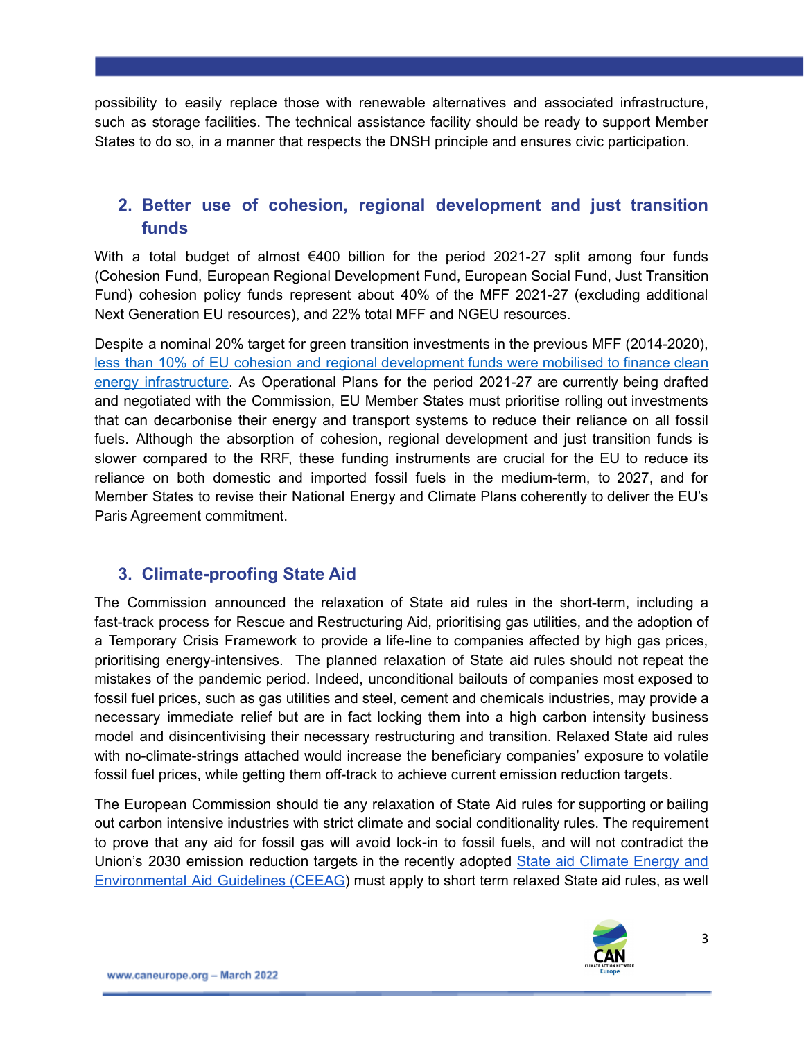possibility to easily replace those with renewable alternatives and associated infrastructure, such as storage facilities. The technical assistance facility should be ready to support Member States to do so, in a manner that respects the DNSH principle and ensures civic participation.

# **2. Better use of cohesion, regional development and just transition funds**

With a total budget of almost €400 billion for the period 2021-27 split among four funds (Cohesion Fund, European Regional Development Fund, European Social Fund, Just Transition Fund) cohesion policy funds represent about 40% of the MFF 2021-27 (excluding additional Next Generation EU resources), and 22% total MFF and NGEU resources.

Despite a nominal 20% target for green transition investments in the previous MFF (2014-2020), less than 10% of EU cohesion and regional [development](https://caneurope.org/content/uploads/2020/04/Funding-Climate-and-Energy-Transition-in-the-EU.pdf) funds were mobilised to finance clean energy [infrastructure](https://caneurope.org/content/uploads/2020/04/Funding-Climate-and-Energy-Transition-in-the-EU.pdf). As Operational Plans for the period 2021-27 are currently being drafted and negotiated with the Commission, EU Member States must prioritise rolling out investments that can decarbonise their energy and transport systems to reduce their reliance on all fossil fuels. Although the absorption of cohesion, regional development and just transition funds is slower compared to the RRF, these funding instruments are crucial for the EU to reduce its reliance on both domestic and imported fossil fuels in the medium-term, to 2027, and for Member States to revise their National Energy and Climate Plans coherently to deliver the EU's Paris Agreement commitment.

#### **3. Climate-proofing State Aid**

The Commission announced the relaxation of State aid rules in the short-term, including a fast-track process for Rescue and Restructuring Aid, prioritising gas utilities, and the adoption of a Temporary Crisis Framework to provide a life-line to companies affected by high gas prices, prioritising energy-intensives. The planned relaxation of State aid rules should not repeat the mistakes of the pandemic period. Indeed, unconditional bailouts of companies most exposed to fossil fuel prices, such as gas utilities and steel, cement and chemicals industries, may provide a necessary immediate relief but are in fact locking them into a high carbon intensity business model and disincentivising their necessary restructuring and transition. Relaxed State aid rules with no-climate-strings attached would increase the beneficiary companies' exposure to volatile fossil fuel prices, while getting them off-track to achieve current emission reduction targets.

The European Commission should tie any relaxation of State Aid rules for supporting or bailing out carbon intensive industries with strict climate and social conditionality rules. The requirement to prove that any aid for fossil gas will avoid lock-in to fossil fuels, and will not contradict the Union's 2030 emission reduction targets in the recently adopted State aid [Climate](https://ec.europa.eu/competition-policy/sectors/energy-and-environment/legislation_en) Energy and [Environmental](https://ec.europa.eu/competition-policy/sectors/energy-and-environment/legislation_en) Aid Guidelines (CEEAG) must apply to short term relaxed State aid rules, as well

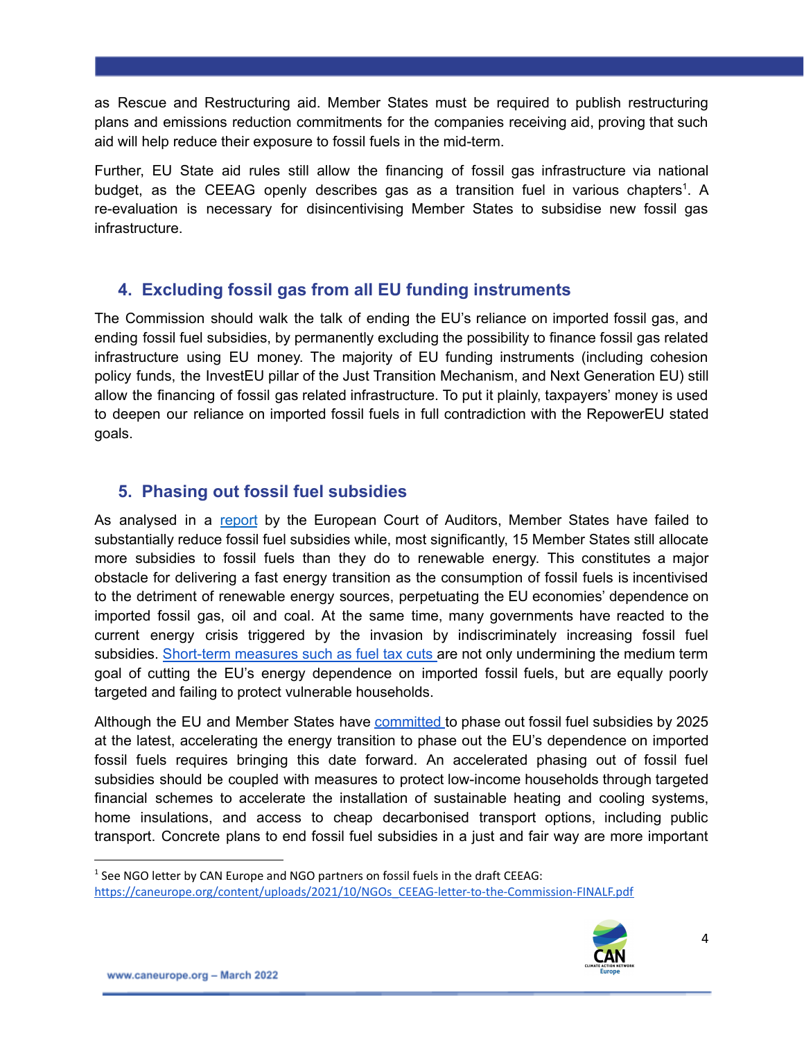as Rescue and Restructuring aid. Member States must be required to publish restructuring plans and emissions reduction commitments for the companies receiving aid, proving that such aid will help reduce their exposure to fossil fuels in the mid-term.

Further, EU State aid rules still allow the financing of fossil gas infrastructure via national budget, as the CEEAG openly describes gas as a transition fuel in various chapters<sup>1</sup>. A re-evaluation is necessary for disincentivising Member States to subsidise new fossil gas infrastructure.

### **4. Excluding fossil gas from all EU funding instruments**

The Commission should walk the talk of ending the EU's reliance on imported fossil gas, and ending fossil fuel subsidies, by permanently excluding the possibility to finance fossil gas related infrastructure using EU money. The majority of EU funding instruments (including cohesion policy funds, the InvestEU pillar of the Just Transition Mechanism, and Next Generation EU) still allow the financing of fossil gas related infrastructure. To put it plainly, taxpayers' money is used to deepen our reliance on imported fossil fuels in full contradiction with the RepowerEU stated goals.

# **5. Phasing out fossil fuel subsidies**

As analysed in a [report](https://www.eca.europa.eu/Lists/ECADocuments/RW22_01/RW_Energy_taxation_EN.pdf) by the European Court of Auditors, Member States have failed to substantially reduce fossil fuel subsidies while, most significantly, 15 Member States still allocate more subsidies to fossil fuels than they do to renewable energy. This constitutes a major obstacle for delivering a fast energy transition as the consumption of fossil fuels is incentivised to the detriment of renewable energy sources, perpetuating the EU economies' dependence on imported fossil gas, oil and coal. At the same time, many governments have reacted to the current energy crisis triggered by the invasion by indiscriminately increasing fossil fuel subsidies. [Short-term](https://www.transportenvironment.org/discover/a-dereliction-of-fuel-duty-europes-e9bn-gift-to-putin-and-the-rich/) measures such as fuel tax cuts are not only undermining the medium term goal of cutting the EU's energy dependence on imported fossil fuels, but are equally poorly targeted and failing to protect vulnerable households.

Although the EU and Member States have [committed](https://www.mofa.go.jp/files/000160266.pdf) to phase out fossil fuel subsidies by 2025 at the latest, accelerating the energy transition to phase out the EU's dependence on imported fossil fuels requires bringing this date forward. An accelerated phasing out of fossil fuel subsidies should be coupled with measures to protect low-income households through targeted financial schemes to accelerate the installation of sustainable heating and cooling systems, home insulations, and access to cheap decarbonised transport options, including public transport. Concrete plans to end fossil fuel subsidies in a just and fair way are more important

<sup>&</sup>lt;sup>1</sup> See NGO letter by CAN Europe and NGO partners on fossil fuels in the draft CEEAG: [https://caneurope.org/content/uploads/2021/10/NGOs\\_CEEAG-letter-to-the-Commission-FINALF.pdf](https://caneurope.org/content/uploads/2021/10/NGOs_CEEAG-letter-to-the-Commission-FINALF.pdf)

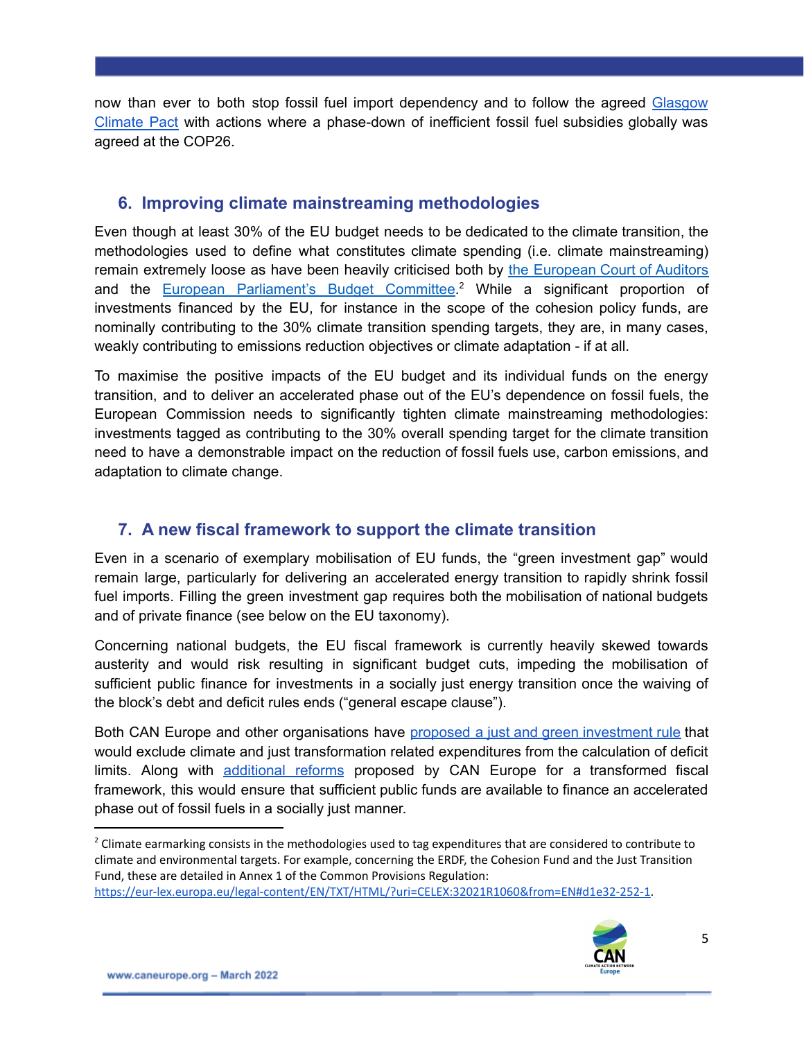now than ever to both stop fossil fuel import dependency and to follow the agreed [Glasgow](https://unfccc.int/sites/default/files/resource/cop26_auv_2f_cover_decision.pdf) [Climate](https://unfccc.int/sites/default/files/resource/cop26_auv_2f_cover_decision.pdf) Pact with actions where a phase-down of inefficient fossil fuel subsidies globally was agreed at the COP26.

#### **6. Improving climate mainstreaming methodologies**

Even though at least 30% of the EU budget needs to be dedicated to the climate transition, the methodologies used to define what constitutes climate spending (i.e. climate mainstreaming) remain extremely loose as have been heavily criticised both by the [European](https://www.eca.europa.eu/Lists/ECADocuments/SR16_31/SR_CLIMATE_EN.pdf) Court of Auditors and the European [Parliament's](https://www.europarl.europa.eu/RegData/etudes/STUD/2020/654166/IPOL_STU%282020%29654166_EN.pdf) Budget Committee.<sup>2</sup> While a significant proportion of investments financed by the EU, for instance in the scope of the cohesion policy funds, are nominally contributing to the 30% climate transition spending targets, they are, in many cases, weakly contributing to emissions reduction objectives or climate adaptation - if at all.

To maximise the positive impacts of the EU budget and its individual funds on the energy transition, and to deliver an accelerated phase out of the EU's dependence on fossil fuels, the European Commission needs to significantly tighten climate mainstreaming methodologies: investments tagged as contributing to the 30% overall spending target for the climate transition need to have a demonstrable impact on the reduction of fossil fuels use, carbon emissions, and adaptation to climate change.

# **7. A new fiscal framework to support the climate transition**

Even in a scenario of exemplary mobilisation of EU funds, the "green investment gap" would remain large, particularly for delivering an accelerated energy transition to rapidly shrink fossil fuel imports. Filling the green investment gap requires both the mobilisation of national budgets and of private finance (see below on the EU taxonomy).

Concerning national budgets, the EU fiscal framework is currently heavily skewed towards austerity and would risk resulting in significant budget cuts, impeding the mobilisation of sufficient public finance for investments in a socially just energy transition once the waiving of the block's debt and deficit rules ends ("general escape clause").

Both CAN Europe and other organisations have proposed a just and green [investment](https://caneurope.org/content/uploads/2021/11/CAN-Fiscal-Framework-Position.pdf) rule that would exclude climate and just transformation related expenditures from the calculation of deficit limits. Along with [additional](https://caneurope.org/content/uploads/2021/11/CAN-Fiscal-Framework-Position.pdf) reforms proposed by CAN Europe for a transformed fiscal framework, this would ensure that sufficient public funds are available to finance an accelerated phase out of fossil fuels in a socially just manner.

[https://eur-lex.europa.eu/legal-content/EN/TXT/HTML/?uri=CELEX:32021R1060&from=EN#d1e32-252-1.](https://eur-lex.europa.eu/legal-content/EN/TXT/HTML/?uri=CELEX:32021R1060&from=EN#d1e32-252-1)



<sup>&</sup>lt;sup>2</sup> Climate earmarking consists in the methodologies used to tag expenditures that are considered to contribute to climate and environmental targets. For example, concerning the ERDF, the Cohesion Fund and the Just Transition Fund, these are detailed in Annex 1 of the Common Provisions Regulation: